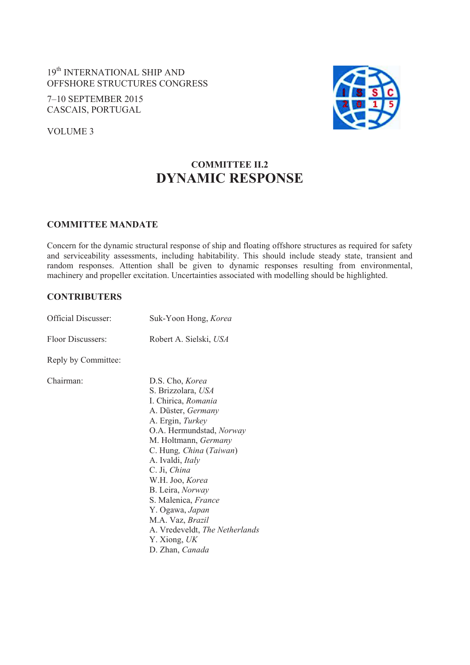# 19th INTERNATIONAL SHIP AND OFFSHORE STRUCTURES CONGRESS

7–10 SEPTEMBER 2015 CASCAIS, PORTUGAL

VOLUME 3



# **COMMITTEE II.2 DYNAMIC RESPONSE**

#### **COMMITTEE MANDATE**

Concern for the dynamic structural response of ship and floating offshore structures as required for safety and serviceability assessments, including habitability. This should include steady state, transient and random responses. Attention shall be given to dynamic responses resulting from environmental, machinery and propeller excitation. Uncertainties associated with modelling should be highlighted.

### **CONTRIBUTERS**

| Official Discusser: | Suk-Yoon Hong, Korea                                                                                                                                                                                                                                                                                                                                                                                |  |
|---------------------|-----------------------------------------------------------------------------------------------------------------------------------------------------------------------------------------------------------------------------------------------------------------------------------------------------------------------------------------------------------------------------------------------------|--|
| Floor Discussers:   | Robert A. Sielski, USA                                                                                                                                                                                                                                                                                                                                                                              |  |
| Reply by Committee: |                                                                                                                                                                                                                                                                                                                                                                                                     |  |
| Chairman:           | D.S. Cho, Korea<br>S. Brizzolara, USA<br>I. Chirica, Romania<br>A. Düster, Germany<br>A. Ergin, Turkey<br>O.A. Hermundstad, Norway<br>M. Holtmann, Germany<br>C. Hung, China (Taiwan)<br>A. Ivaldi, Italy<br>C. Ji, China<br>W.H. Joo, Korea<br>B. Leira, Norway<br>S. Malenica, France<br>Y. Ogawa, Japan<br>M.A. Vaz, Brazil<br>A. Vredeveldt, The Netherlands<br>Y. Xiong, UK<br>D. Zhan, Canada |  |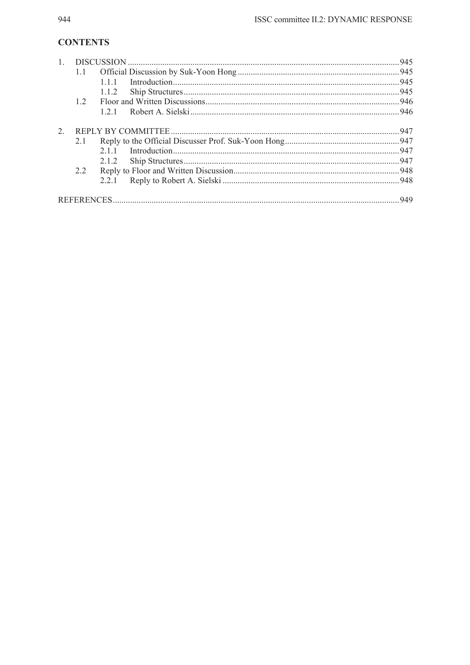## **CONTENTS**

|   |     |       | .945 |
|---|-----|-------|------|
|   | 1.1 |       |      |
|   |     | 111   |      |
|   |     | 1.1.2 | 945  |
|   | 12  |       |      |
|   |     | 121   |      |
| 2 |     |       | 947  |
|   | 2.1 |       |      |
|   |     | 211   |      |
|   |     | 2.1.2 |      |
|   | 2.2 |       |      |
|   |     | 221   |      |
|   |     |       |      |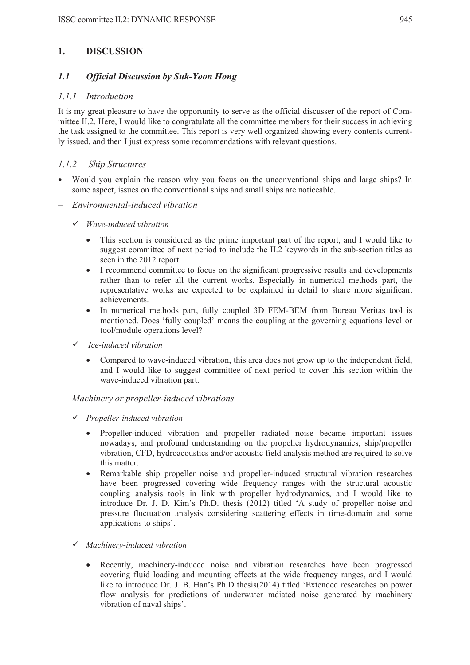### **1. DISCUSSION**

### *1.1 Official Discussion by Suk-Yoon Hong*

#### *1.1.1 Introduction*

It is my great pleasure to have the opportunity to serve as the official discusser of the report of Committee II.2. Here, I would like to congratulate all the committee members for their success in achieving the task assigned to the committee. This report is very well organized showing every contents currently issued, and then I just express some recommendations with relevant questions.

#### *1.1.2 Ship Structures*

- Would you explain the reason why you focus on the unconventional ships and large ships? In some aspect, issues on the conventional ships and small ships are noticeable.
- *Environmental-induced vibration* 
	- 9 *Wave-induced vibration* 
		- This section is considered as the prime important part of the report, and I would like to suggest committee of next period to include the II.2 keywords in the sub-section titles as seen in the 2012 report.
		- I recommend committee to focus on the significant progressive results and developments rather than to refer all the current works. Especially in numerical methods part, the representative works are expected to be explained in detail to share more significant achievements.
		- In numerical methods part, fully coupled 3D FEM-BEM from Bureau Veritas tool is mentioned. Does 'fully coupled' means the coupling at the governing equations level or tool/module operations level?
	- 9 *Ice-induced vibration* 
		- Compared to wave-induced vibration, this area does not grow up to the independent field, and I would like to suggest committee of next period to cover this section within the wave-induced vibration part.
- *Machinery or propeller-induced vibrations* 
	- 9 *Propeller-induced vibration* 
		- Propeller-induced vibration and propeller radiated noise became important issues nowadays, and profound understanding on the propeller hydrodynamics, ship/propeller vibration, CFD, hydroacoustics and/or acoustic field analysis method are required to solve this matter.
		- Remarkable ship propeller noise and propeller-induced structural vibration researches have been progressed covering wide frequency ranges with the structural acoustic coupling analysis tools in link with propeller hydrodynamics, and I would like to introduce Dr. J. D. Kim's Ph.D. thesis (2012) titled 'A study of propeller noise and pressure fluctuation analysis considering scattering effects in time-domain and some applications to ships'.
	- 9 *Machinery-induced vibration* 
		- Recently, machinery-induced noise and vibration researches have been progressed covering fluid loading and mounting effects at the wide frequency ranges, and I would like to introduce Dr. J. B. Han's Ph.D thesis(2014) titled 'Extended researches on power flow analysis for predictions of underwater radiated noise generated by machinery vibration of naval ships'.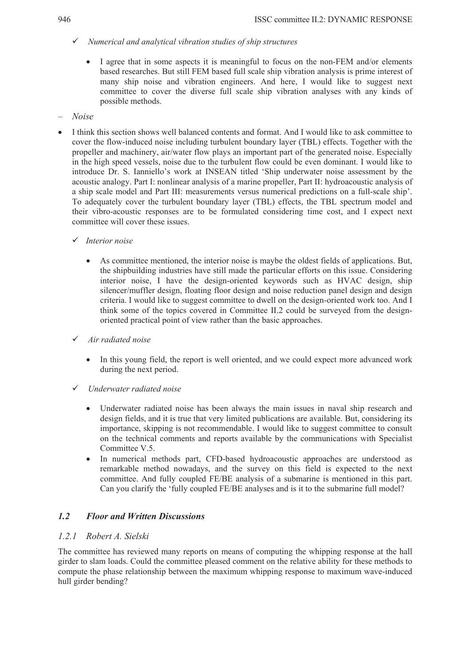- 9 *Numerical and analytical vibration studies of ship structures* 
	- I agree that in some aspects it is meaningful to focus on the non-FEM and/or elements based researches. But still FEM based full scale ship vibration analysis is prime interest of many ship noise and vibration engineers. And here, I would like to suggest next committee to cover the diverse full scale ship vibration analyses with any kinds of possible methods.
- *Noise*
- I think this section shows well balanced contents and format. And I would like to ask committee to cover the flow-induced noise including turbulent boundary layer (TBL) effects. Together with the propeller and machinery, air/water flow plays an important part of the generated noise. Especially in the high speed vessels, noise due to the turbulent flow could be even dominant. I would like to introduce Dr. S. Ianniello's work at INSEAN titled 'Ship underwater noise assessment by the acoustic analogy. Part I: nonlinear analysis of a marine propeller, Part II: hydroacoustic analysis of a ship scale model and Part III: measurements versus numerical predictions on a full-scale ship'. To adequately cover the turbulent boundary layer (TBL) effects, the TBL spectrum model and their vibro-acoustic responses are to be formulated considering time cost, and I expect next committee will cover these issues.
	- 9 *Interior noise* 
		- As committee mentioned, the interior noise is maybe the oldest fields of applications. But, the shipbuilding industries have still made the particular efforts on this issue. Considering interior noise, I have the design-oriented keywords such as HVAC design, ship silencer/muffler design, floating floor design and noise reduction panel design and design criteria. I would like to suggest committee to dwell on the design-oriented work too. And I think some of the topics covered in Committee II.2 could be surveyed from the designoriented practical point of view rather than the basic approaches.
	- 9 *Air radiated noise* 
		- In this young field, the report is well oriented, and we could expect more advanced work during the next period.
	- 9 *Underwater radiated noise* 
		- Underwater radiated noise has been always the main issues in naval ship research and design fields, and it is true that very limited publications are available. But, considering its importance, skipping is not recommendable. I would like to suggest committee to consult on the technical comments and reports available by the communications with Specialist Committee V.5.
		- In numerical methods part, CFD-based hydroacoustic approaches are understood as remarkable method nowadays, and the survey on this field is expected to the next committee. And fully coupled FE/BE analysis of a submarine is mentioned in this part. Can you clarify the 'fully coupled FE/BE analyses and is it to the submarine full model?

## *1.2 Floor and Written Discussions*

#### *1.2.1 Robert A. Sielski*

The committee has reviewed many reports on means of computing the whipping response at the hall girder to slam loads. Could the committee pleased comment on the relative ability for these methods to compute the phase relationship between the maximum whipping response to maximum wave-induced hull girder bending?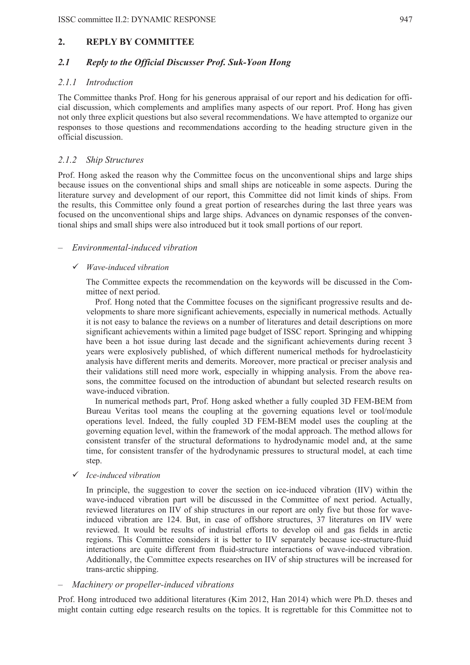## **2. REPLY BY COMMITTEE**

### *2.1 Reply to the Official Discusser Prof. Suk-Yoon Hong*

#### *2.1.1 Introduction*

The Committee thanks Prof. Hong for his generous appraisal of our report and his dedication for official discussion, which complements and amplifies many aspects of our report. Prof. Hong has given not only three explicit questions but also several recommendations. We have attempted to organize our responses to those questions and recommendations according to the heading structure given in the official discussion.

### *2.1.2 Ship Structures*

Prof. Hong asked the reason why the Committee focus on the unconventional ships and large ships because issues on the conventional ships and small ships are noticeable in some aspects. During the literature survey and development of our report, this Committee did not limit kinds of ships. From the results, this Committee only found a great portion of researches during the last three years was focused on the unconventional ships and large ships. Advances on dynamic responses of the conventional ships and small ships were also introduced but it took small portions of our report.

#### – *Environmental-induced vibration*

#### 9 *Wave-induced vibration*

The Committee expects the recommendation on the keywords will be discussed in the Committee of next period.

Prof. Hong noted that the Committee focuses on the significant progressive results and developments to share more significant achievements, especially in numerical methods. Actually it is not easy to balance the reviews on a number of literatures and detail descriptions on more significant achievements within a limited page budget of ISSC report. Springing and whipping have been a hot issue during last decade and the significant achievements during recent 3 years were explosively published, of which different numerical methods for hydroelasticity analysis have different merits and demerits. Moreover, more practical or preciser analysis and their validations still need more work, especially in whipping analysis. From the above reasons, the committee focused on the introduction of abundant but selected research results on wave-induced vibration.

In numerical methods part, Prof. Hong asked whether a fully coupled 3D FEM-BEM from Bureau Veritas tool means the coupling at the governing equations level or tool/module operations level. Indeed, the fully coupled 3D FEM-BEM model uses the coupling at the governing equation level, within the framework of the modal approach. The method allows for consistent transfer of the structural deformations to hydrodynamic model and, at the same time, for consistent transfer of the hydrodynamic pressures to structural model, at each time step.

#### 9 *Ice-induced vibration*

In principle, the suggestion to cover the section on ice-induced vibration (IIV) within the wave-induced vibration part will be discussed in the Committee of next period. Actually, reviewed literatures on IIV of ship structures in our report are only five but those for waveinduced vibration are 124. But, in case of offshore structures, 37 literatures on IIV were reviewed. It would be results of industrial efforts to develop oil and gas fields in arctic regions. This Committee considers it is better to IIV separately because ice-structure-fluid interactions are quite different from fluid-structure interactions of wave-induced vibration. Additionally, the Committee expects researches on IIV of ship structures will be increased for trans-arctic shipping.

#### – *Machinery or propeller-induced vibrations*

Prof. Hong introduced two additional literatures (Kim 2012, Han 2014) which were Ph.D. theses and might contain cutting edge research results on the topics. It is regrettable for this Committee not to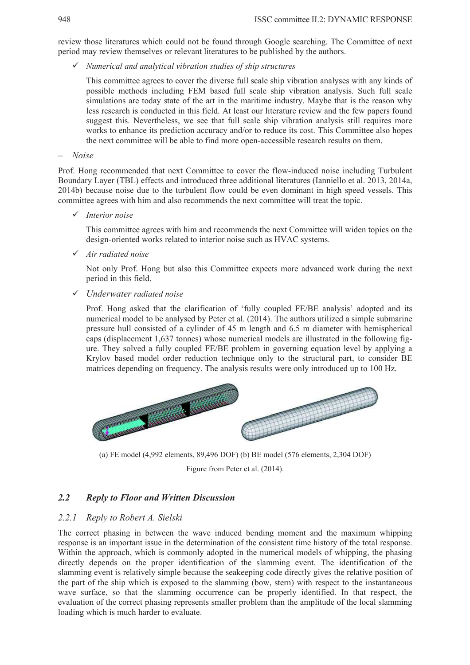review those literatures which could not be found through Google searching. The Committee of next period may review themselves or relevant literatures to be published by the authors.

9 *Numerical and analytical vibration studies of ship structures* 

This committee agrees to cover the diverse full scale ship vibration analyses with any kinds of possible methods including FEM based full scale ship vibration analysis. Such full scale simulations are today state of the art in the maritime industry. Maybe that is the reason why less research is conducted in this field. At least our literature review and the few papers found suggest this. Nevertheless, we see that full scale ship vibration analysis still requires more works to enhance its prediction accuracy and/or to reduce its cost. This Committee also hopes the next committee will be able to find more open-accessible research results on them.

– *Noise* 

Prof. Hong recommended that next Committee to cover the flow-induced noise including Turbulent Boundary Layer (TBL) effects and introduced three additional literatures (Ianniello et al. 2013, 2014a, 2014b) because noise due to the turbulent flow could be even dominant in high speed vessels. This committee agrees with him and also recommends the next committee will treat the topic.

9 *Interior noise* 

This committee agrees with him and recommends the next Committee will widen topics on the design-oriented works related to interior noise such as HVAC systems.

9 *Air radiated noise* 

Not only Prof. Hong but also this Committee expects more advanced work during the next period in this field.

#### 9 *Underwater radiated noise*

Prof. Hong asked that the clarification of 'fully coupled FE/BE analysis' adopted and its numerical model to be analysed by Peter et al. (2014). The authors utilized a simple submarine pressure hull consisted of a cylinder of 45 m length and 6.5 m diameter with hemispherical caps (displacement 1,637 tonnes) whose numerical models are illustrated in the following figure. They solved a fully coupled FE/BE problem in governing equation level by applying a Krylov based model order reduction technique only to the structural part, to consider BE matrices depending on frequency. The analysis results were only introduced up to 100 Hz.



(a) FE model (4,992 elements, 89,496 DOF) (b) BE model (576 elements, 2,304 DOF)

Figure from Peter et al. (2014).

#### *2.2 Reply to Floor and Written Discussion*

#### *2.2.1 Reply to Robert A. Sielski*

The correct phasing in between the wave induced bending moment and the maximum whipping response is an important issue in the determination of the consistent time history of the total response. Within the approach, which is commonly adopted in the numerical models of whipping, the phasing directly depends on the proper identification of the slamming event. The identification of the slamming event is relatively simple because the seakeeping code directly gives the relative position of the part of the ship which is exposed to the slamming (bow, stern) with respect to the instantaneous wave surface, so that the slamming occurrence can be properly identified. In that respect, the evaluation of the correct phasing represents smaller problem than the amplitude of the local slamming loading which is much harder to evaluate.